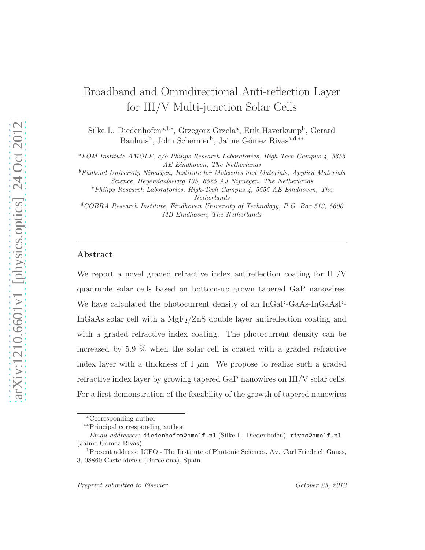# Broadband and Omnidirectional Anti-reflection Layer for III/V Multi-junction Solar Cells

Silke L. Diedenhofen<sup>a,1,∗</sup>, Grzegorz Grzela<sup>a</sup>, Erik Haverkamp<sup>b</sup>, Gerard Bauhuis<sup>b</sup>, John Schermer<sup>b</sup>, Jaime Gómez Rivas<sup>a,d,∗</sup>\*

<sup>a</sup>*FOM Institute AMOLF, c/o Philips Research Laboratories, High-Tech Campus 4, 5656 AE Eindhoven, The Netherlands*

<sup>b</sup>*Radboud University Nijmegen, Institute for Molecules and Materials, Applied Materials Science, Heyendaalseweg 135, 6525 AJ Nijmegen, The Netherlands*

<sup>c</sup>*Philips Research Laboratories, High-Tech Campus 4, 5656 AE Eindhoven, The Netherlands*

<sup>d</sup>*COBRA Research Institute, Eindhoven University of Technology, P.O. Box 513, 5600 MB Eindhoven, The Netherlands*

#### Abstract

We report a novel graded refractive index antireflection coating for III/V quadruple solar cells based on bottom-up grown tapered GaP nanowires. We have calculated the photocurrent density of an InGaP-GaAs-InGaAsP-InGaAs solar cell with a  $MgF_2/ZnS$  double layer antireflection coating and with a graded refractive index coating. The photocurrent density can be increased by 5.9 % when the solar cell is coated with a graded refractive index layer with a thickness of 1  $\mu$ m. We propose to realize such a graded refractive index layer by growing tapered GaP nanowires on III/V solar cells. For a first demonstration of the feasibility of the growth of tapered nanowires

<sup>∗</sup>Corresponding author

<sup>∗∗</sup>Principal corresponding author

*Email addresses:* diedenhofen@amolf.nl (Silke L. Diedenhofen), rivas@amolf.nl (Jaime Gómez Rivas)

<sup>&</sup>lt;sup>1</sup>Present address: ICFO - The Institute of Photonic Sciences, Av. Carl Friedrich Gauss, 3, 08860 Castelldefels (Barcelona), Spain.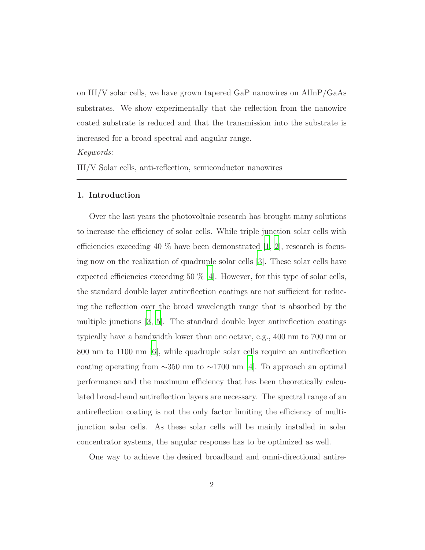on III/V solar cells, we have grown tapered GaP nanowires on AlInP/GaAs substrates. We show experimentally that the reflection from the nanowire coated substrate is reduced and that the transmission into the substrate is increased for a broad spectral and angular range.

Keywords:

III/V Solar cells, anti-reflection, semiconductor nanowires

#### 1. Introduction

Over the last years the photovoltaic research has brought many solutions to increase the efficiency of solar cells. While triple junction solar cells with efficiencies exceeding 40 % have been demonstrated  $[1, 2]$  $[1, 2]$ , research is focusing now on the realization of quadruple solar cells [\[3\]](#page-23-2). These solar cells have expected efficiencies exceeding 50  $\%$  [\[4](#page-23-3)]. However, for this type of solar cells, the standard double layer antireflection coatings are not sufficient for reducing the reflection over the broad wavelength range that is absorbed by the multiple junctions [\[3,](#page-23-2) [5](#page-23-4)]. The standard double layer antireflection coatings typically have a bandwidth lower than one octave, e.g., 400 nm to 700 nm or 800 nm to 1100 nm [\[6](#page-23-5)], while quadruple solar cells require an antireflection coating operating from  $\sim$ 350 nm to  $\sim$ 1700 nm [\[4\]](#page-23-3). To approach an optimal performance and the maximum efficiency that has been theoretically calculated broad-band antireflection layers are necessary. The spectral range of an antireflection coating is not the only factor limiting the efficiency of multijunction solar cells. As these solar cells will be mainly installed in solar concentrator systems, the angular response has to be optimized as well.

One way to achieve the desired broadband and omni-directional antire-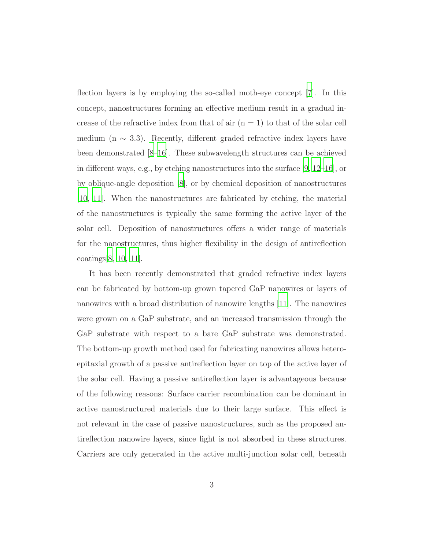flection layers is by employing the so-called moth-eye concept [\[7\]](#page-24-0). In this concept, nanostructures forming an effective medium result in a gradual increase of the refractive index from that of air  $(n = 1)$  to that of the solar cell medium (n  $\sim$  3.3). Recently, different graded refractive index layers have been demonstrated [\[8](#page-24-1)[–16](#page-25-0)]. These subwavelength structures can be achieved in different ways, e.g., by etching nanostructures into the surface [\[9](#page-24-2), [12](#page-24-3)[–16\]](#page-25-0), or by oblique-angle deposition [\[8](#page-24-1)], or by chemical deposition of nanostructures [\[10,](#page-24-4) [11\]](#page-24-5). When the nanostructures are fabricated by etching, the material of the nanostructures is typically the same forming the active layer of the solar cell. Deposition of nanostructures offers a wider range of materials for the nanostructures, thus higher flexibility in the design of antireflection coatings[\[8,](#page-24-1) [10,](#page-24-4) [11](#page-24-5)].

It has been recently demonstrated that graded refractive index layers can be fabricated by bottom-up grown tapered GaP nanowires or layers of nanowires with a broad distribution of nanowire lengths [\[11\]](#page-24-5). The nanowires were grown on a GaP substrate, and an increased transmission through the GaP substrate with respect to a bare GaP substrate was demonstrated. The bottom-up growth method used for fabricating nanowires allows heteroepitaxial growth of a passive antireflection layer on top of the active layer of the solar cell. Having a passive antireflection layer is advantageous because of the following reasons: Surface carrier recombination can be dominant in active nanostructured materials due to their large surface. This effect is not relevant in the case of passive nanostructures, such as the proposed antireflection nanowire layers, since light is not absorbed in these structures. Carriers are only generated in the active multi-junction solar cell, beneath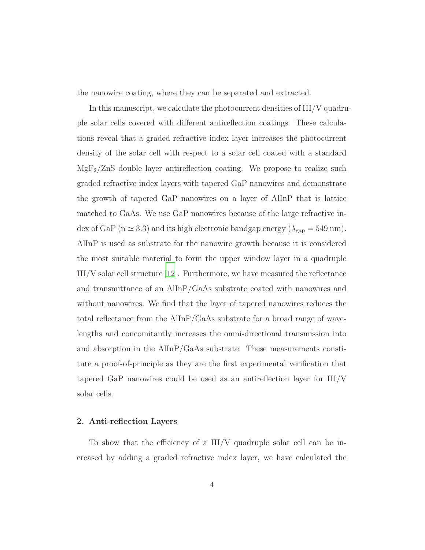the nanowire coating, where they can be separated and extracted.

In this manuscript, we calculate the photocurrent densities of III/V quadruple solar cells covered with different antireflection coatings. These calculations reveal that a graded refractive index layer increases the photocurrent density of the solar cell with respect to a solar cell coated with a standard  $MgF_2/ZnS$  double layer antireflection coating. We propose to realize such graded refractive index layers with tapered GaP nanowires and demonstrate the growth of tapered GaP nanowires on a layer of AlInP that is lattice matched to GaAs. We use GaP nanowires because of the large refractive index of GaP (n  $\simeq$  3.3) and its high electronic bandgap energy ( $\lambda_{\rm gap}$  = 549 nm). AlInP is used as substrate for the nanowire growth because it is considered the most suitable material to form the upper window layer in a quadruple III/V solar cell structure [\[12](#page-24-3)]. Furthermore, we have measured the reflectance and transmittance of an AlInP/GaAs substrate coated with nanowires and without nanowires. We find that the layer of tapered nanowires reduces the total reflectance from the AlInP/GaAs substrate for a broad range of wavelengths and concomitantly increases the omni-directional transmission into and absorption in the AlInP/GaAs substrate. These measurements constitute a proof-of-principle as they are the first experimental verification that tapered GaP nanowires could be used as an antireflection layer for III/V solar cells.

#### 2. Anti-reflection Layers

To show that the efficiency of a III/V quadruple solar cell can be increased by adding a graded refractive index layer, we have calculated the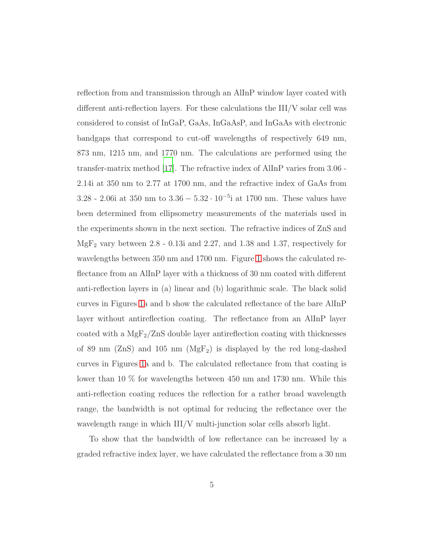reflection from and transmission through an AlInP window layer coated with different anti-reflection layers. For these calculations the III/V solar cell was considered to consist of InGaP, GaAs, InGaAsP, and InGaAs with electronic bandgaps that correspond to cut-off wavelengths of respectively 649 nm, 873 nm, 1215 nm, and 1770 nm. The calculations are performed using the transfer-matrix method [\[17\]](#page-25-1). The refractive index of AlInP varies from 3.06 - 2.14i at 350 nm to 2.77 at 1700 nm, and the refractive index of GaAs from 3.28 - 2.06i at 350 nm to  $3.36 - 5.32 \cdot 10^{-5}$ i at 1700 nm. These values have been determined from ellipsometry measurements of the materials used in the experiments shown in the next section. The refractive indices of ZnS and  $MgF_2$  vary between 2.8 - 0.13i and 2.27, and 1.38 and 1.37, respectively for wavelengths between 350 nm and 1700 nm. Figure [1](#page-18-0) shows the calculated reflectance from an AlInP layer with a thickness of 30 nm coated with different anti-reflection layers in (a) linear and (b) logarithmic scale. The black solid curves in Figures [1a](#page-18-0) and b show the calculated reflectance of the bare AlInP layer without antireflection coating. The reflectance from an AlInP layer coated with a  $MgF_2/ZnS$  double layer antireflection coating with thicknesses of 89 nm (ZnS) and 105 nm ( $MgF_2$ ) is displayed by the red long-dashed curves in Figures [1a](#page-18-0) and b. The calculated reflectance from that coating is lower than 10 % for wavelengths between 450 nm and 1730 nm. While this anti-reflection coating reduces the reflection for a rather broad wavelength range, the bandwidth is not optimal for reducing the reflectance over the wavelength range in which III/V multi-junction solar cells absorb light.

To show that the bandwidth of low reflectance can be increased by a graded refractive index layer, we have calculated the reflectance from a 30 nm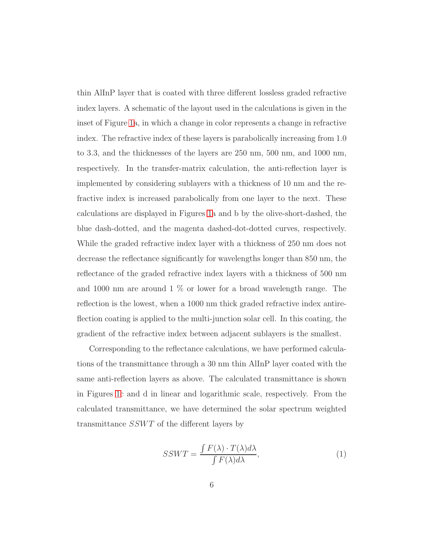thin AlInP layer that is coated with three different lossless graded refractive index layers. A schematic of the layout used in the calculations is given in the inset of Figure [1a](#page-18-0), in which a change in color represents a change in refractive index. The refractive index of these layers is parabolically increasing from 1.0 to 3.3, and the thicknesses of the layers are 250 nm, 500 nm, and 1000 nm, respectively. In the transfer-matrix calculation, the anti-reflection layer is implemented by considering sublayers with a thickness of 10 nm and the refractive index is increased parabolically from one layer to the next. These calculations are displayed in Figures [1a](#page-18-0) and b by the olive-short-dashed, the blue dash-dotted, and the magenta dashed-dot-dotted curves, respectively. While the graded refractive index layer with a thickness of 250 nm does not decrease the reflectance significantly for wavelengths longer than 850 nm, the reflectance of the graded refractive index layers with a thickness of 500 nm and 1000 nm are around 1 % or lower for a broad wavelength range. The reflection is the lowest, when a 1000 nm thick graded refractive index antireflection coating is applied to the multi-junction solar cell. In this coating, the gradient of the refractive index between adjacent sublayers is the smallest.

Corresponding to the reflectance calculations, we have performed calculations of the transmittance through a 30 nm thin AlInP layer coated with the same anti-reflection layers as above. The calculated transmittance is shown in Figures [1c](#page-18-0) and d in linear and logarithmic scale, respectively. From the calculated transmittance, we have determined the solar spectrum weighted transmittance  $SSWT$  of the different layers by

$$
SSWT = \frac{\int F(\lambda) \cdot T(\lambda) d\lambda}{\int F(\lambda) d\lambda},\tag{1}
$$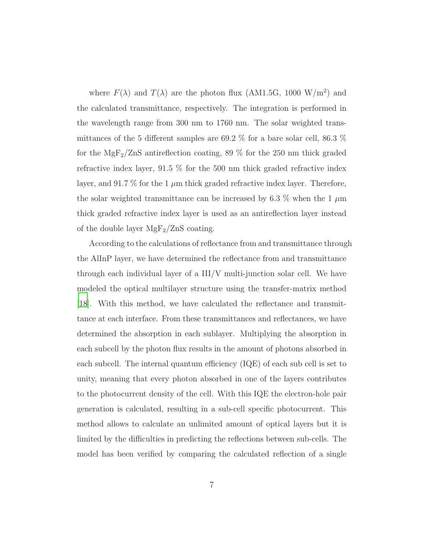where  $F(\lambda)$  and  $T(\lambda)$  are the photon flux (AM1.5G, 1000 W/m<sup>2</sup>) and the calculated transmittance, respectively. The integration is performed in the wavelength range from 300 nm to 1760 nm. The solar weighted transmittances of the 5 different samples are 69.2 % for a bare solar cell, 86.3 % for the  $MgF_2/ZnS$  antireflection coating, 89 % for the 250 nm thick graded refractive index layer, 91.5 % for the 500 nm thick graded refractive index layer, and 91.7  $\%$  for the 1  $\mu$ m thick graded refractive index layer. Therefore, the solar weighted transmittance can be increased by 6.3  $\%$  when the 1  $\mu$ m thick graded refractive index layer is used as an antireflection layer instead of the double layer  $MgF_2/ZnS$  coating.

According to the calculations of reflectance from and transmittance through the AlInP layer, we have determined the reflectance from and transmittance through each individual layer of a III/V multi-junction solar cell. We have modeled the optical multilayer structure using the transfer-matrix method [\[18\]](#page-25-2). With this method, we have calculated the reflectance and transmittance at each interface. From these transmittances and reflectances, we have determined the absorption in each sublayer. Multiplying the absorption in each subcell by the photon flux results in the amount of photons absorbed in each subcell. The internal quantum efficiency (IQE) of each sub cell is set to unity, meaning that every photon absorbed in one of the layers contributes to the photocurrent density of the cell. With this IQE the electron-hole pair generation is calculated, resulting in a sub-cell specific photocurrent. This method allows to calculate an unlimited amount of optical layers but it is limited by the difficulties in predicting the reflections between sub-cells. The model has been verified by comparing the calculated reflection of a single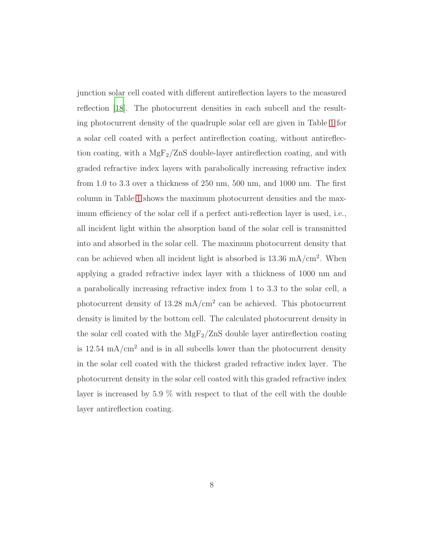junction solar cell coated with different antireflection layers to the measured reflection [\[18\]](#page-25-2). The photocurrent densities in each subcell and the resulting photocurrent density of the quadruple solar cell are given in Table [1](#page-17-0) for a solar cell coated with a perfect antireflection coating, without antireflection coating, with a  $MgF_2/ZnS$  double-layer antireflection coating, and with graded refractive index layers with parabolically increasing refractive index from 1.0 to 3.3 over a thickness of 250 nm, 500 nm, and 1000 nm. The first column in Table [1](#page-17-0) shows the maximum photocurrent densities and the maximum efficiency of the solar cell if a perfect anti-reflection layer is used, i.e., all incident light within the absorption band of the solar cell is transmitted into and absorbed in the solar cell. The maximum photocurrent density that can be achieved when all incident light is absorbed is  $13.36 \text{ mA/cm}^2$ . When applying a graded refractive index layer with a thickness of 1000 nm and a parabolically increasing refractive index from 1 to 3.3 to the solar cell, a photocurrent density of  $13.28 \text{ mA/cm}^2$  can be achieved. This photocurrent density is limited by the bottom cell. The calculated photocurrent density in the solar cell coated with the  $MgF_2/ZnS$  double layer antireflection coating is  $12.54 \text{ mA/cm}^2$  and is in all subcells lower than the photocurrent density in the solar cell coated with the thickest graded refractive index layer. The photocurrent density in the solar cell coated with this graded refractive index layer is increased by 5.9 % with respect to that of the cell with the double layer antireflection coating.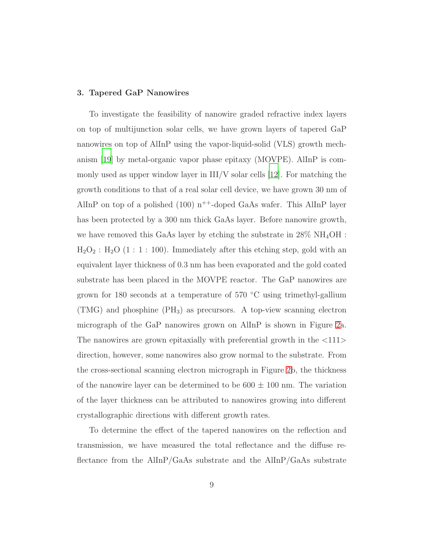#### 3. Tapered GaP Nanowires

To investigate the feasibility of nanowire graded refractive index layers on top of multijunction solar cells, we have grown layers of tapered GaP nanowires on top of AlInP using the vapor-liquid-solid (VLS) growth mechanism [\[19](#page-25-3)] by metal-organic vapor phase epitaxy (MOVPE). AlInP is commonly used as upper window layer in  $III/V$  solar cells [\[12\]](#page-24-3). For matching the growth conditions to that of a real solar cell device, we have grown 30 nm of AlInP on top of a polished (100)  $n^{++}$ -doped GaAs wafer. This AlInP layer has been protected by a 300 nm thick GaAs layer. Before nanowire growth, we have removed this GaAs layer by etching the substrate in  $28\% \text{ NH}_4\text{OH}$ :  $H<sub>2</sub>O<sub>2</sub>$ :  $H<sub>2</sub>O$  (1 : 1 : 100). Immediately after this etching step, gold with an equivalent layer thickness of 0.3 nm has been evaporated and the gold coated substrate has been placed in the MOVPE reactor. The GaP nanowires are grown for 180 seconds at a temperature of 570 ◦C using trimethyl-gallium  $(TMG)$  and phosphine  $(PH_3)$  as precursors. A top-view scanning electron micrograph of the GaP nanowires grown on AlInP is shown in Figure [2a](#page-19-0). The nanowires are grown epitaxially with preferential growth in the <111> direction, however, some nanowires also grow normal to the substrate. From the cross-sectional scanning electron micrograph in Figure [2b](#page-19-0), the thickness of the nanowire layer can be determined to be  $600 \pm 100$  nm. The variation of the layer thickness can be attributed to nanowires growing into different crystallographic directions with different growth rates.

To determine the effect of the tapered nanowires on the reflection and transmission, we have measured the total reflectance and the diffuse reflectance from the AlInP/GaAs substrate and the AlInP/GaAs substrate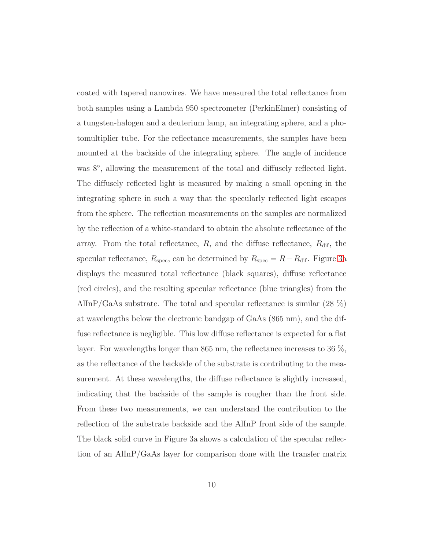coated with tapered nanowires. We have measured the total reflectance from both samples using a Lambda 950 spectrometer (PerkinElmer) consisting of a tungsten-halogen and a deuterium lamp, an integrating sphere, and a photomultiplier tube. For the reflectance measurements, the samples have been mounted at the backside of the integrating sphere. The angle of incidence was 8°, allowing the measurement of the total and diffusely reflected light. The diffusely reflected light is measured by making a small opening in the integrating sphere in such a way that the specularly reflected light escapes from the sphere. The reflection measurements on the samples are normalized by the reflection of a white-standard to obtain the absolute reflectance of the array. From the total reflectance,  $R$ , and the diffuse reflectance,  $R_{\text{dif}}$ , the specular reflectance,  $R_{\text{spec}}$ , can be determined by  $R_{\text{spec}} = R - R_{\text{dif}}$ . Figure [3a](#page-20-0) displays the measured total reflectance (black squares), diffuse reflectance (red circles), and the resulting specular reflectance (blue triangles) from the AlInP/GaAs substrate. The total and specular reflectance is similar (28 %) at wavelengths below the electronic bandgap of GaAs (865 nm), and the diffuse reflectance is negligible. This low diffuse reflectance is expected for a flat layer. For wavelengths longer than 865 nm, the reflectance increases to 36 %, as the reflectance of the backside of the substrate is contributing to the measurement. At these wavelengths, the diffuse reflectance is slightly increased, indicating that the backside of the sample is rougher than the front side. From these two measurements, we can understand the contribution to the reflection of the substrate backside and the AlInP front side of the sample. The black solid curve in Figure 3a shows a calculation of the specular reflection of an AlInP/GaAs layer for comparison done with the transfer matrix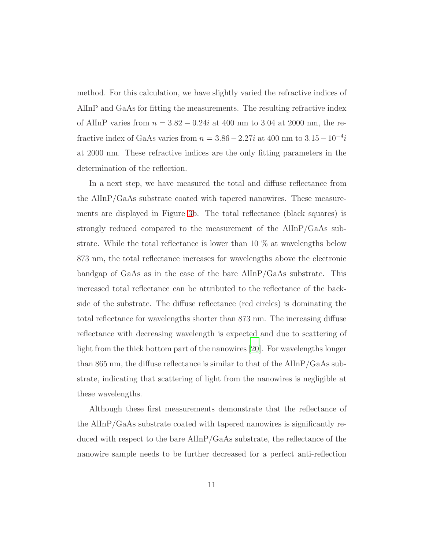method. For this calculation, we have slightly varied the refractive indices of AlInP and GaAs for fitting the measurements. The resulting refractive index of AlInP varies from  $n = 3.82 - 0.24i$  at 400 nm to 3.04 at 2000 nm, the refractive index of GaAs varies from  $n = 3.86 - 2.27i$  at 400 nm to  $3.15 - 10^{-4}i$ at 2000 nm. These refractive indices are the only fitting parameters in the determination of the reflection.

In a next step, we have measured the total and diffuse reflectance from the AlInP/GaAs substrate coated with tapered nanowires. These measurements are displayed in Figure [3b](#page-20-0). The total reflectance (black squares) is strongly reduced compared to the measurement of the AlInP/GaAs substrate. While the total reflectance is lower than 10 % at wavelengths below 873 nm, the total reflectance increases for wavelengths above the electronic bandgap of GaAs as in the case of the bare AlInP/GaAs substrate. This increased total reflectance can be attributed to the reflectance of the backside of the substrate. The diffuse reflectance (red circles) is dominating the total reflectance for wavelengths shorter than 873 nm. The increasing diffuse reflectance with decreasing wavelength is expected and due to scattering of light from the thick bottom part of the nanowires [\[20](#page-26-0)]. For wavelengths longer than 865 nm, the diffuse reflectance is similar to that of the AlInP/GaAs substrate, indicating that scattering of light from the nanowires is negligible at these wavelengths.

Although these first measurements demonstrate that the reflectance of the AlInP/GaAs substrate coated with tapered nanowires is significantly reduced with respect to the bare AlInP/GaAs substrate, the reflectance of the nanowire sample needs to be further decreased for a perfect anti-reflection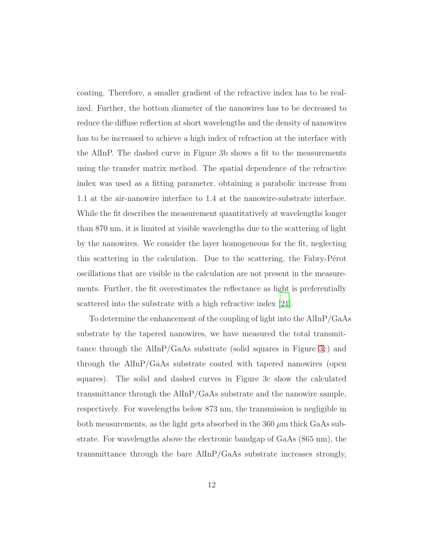coating. Therefore, a smaller gradient of the refractive index has to be realized. Further, the bottom diameter of the nanowires has to be decreased to reduce the diffuse reflection at short wavelengths and the density of nanowires has to be increased to achieve a high index of refraction at the interface with the AlInP. The dashed curve in Figure 3b shows a fit to the measurements using the transfer matrix method. The spatial dependence of the refractive index was used as a fitting parameter, obtaining a parabolic increase from 1.1 at the air-nanowire interface to 1.4 at the nanowire-substrate interface. While the fit describes the measurement quantitatively at wavelengths longer than 870 nm, it is limited at visible wavelengths due to the scattering of light by the nanowires. We consider the layer homogeneous for the fit, neglecting this scattering in the calculation. Due to the scattering, the Fabry-Pérot oscillations that are visible in the calculation are not present in the measurements. Further, the fit overestimates the reflectance as light is preferentially scattered into the substrate with a high refractive index [\[21](#page-26-1)].

To determine the enhancement of the coupling of light into the AlInP/GaAs substrate by the tapered nanowires, we have measured the total transmittance through the AlInP/GaAs substrate (solid squares in Figure [3c](#page-20-0)) and through the AlInP/GaAs substrate coated with tapered nanowires (open squares). The solid and dashed curves in Figure 3c show the calculated transmittance through the AlInP/GaAs substrate and the nanowire sample, respectively. For wavelengths below 873 nm, the transmission is negligible in both measurements, as the light gets absorbed in the  $360 \mu m$  thick GaAs substrate. For wavelengths above the electronic bandgap of GaAs (865 nm), the transmittance through the bare AlInP/GaAs substrate increases strongly,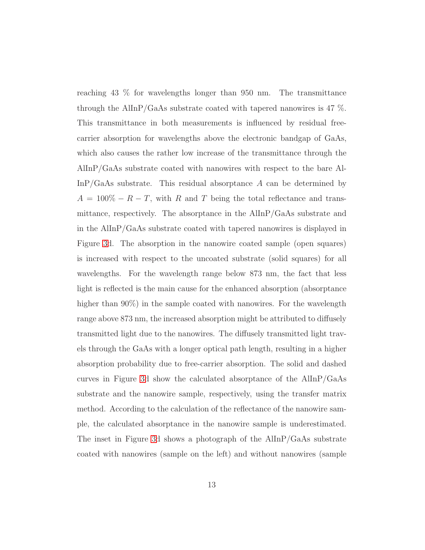reaching 43 % for wavelengths longer than 950 nm. The transmittance through the AlInP/GaAs substrate coated with tapered nanowires is 47 %. This transmittance in both measurements is influenced by residual freecarrier absorption for wavelengths above the electronic bandgap of GaAs, which also causes the rather low increase of the transmittance through the AlInP/GaAs substrate coated with nanowires with respect to the bare Al- $\text{InP/GaAs substrate.}$  This residual absorptance A can be determined by  $A = 100\% - R - T$ , with R and T being the total reflectance and transmittance, respectively. The absorptance in the AlInP/GaAs substrate and in the AlInP/GaAs substrate coated with tapered nanowires is displayed in Figure [3d](#page-20-0). The absorption in the nanowire coated sample (open squares) is increased with respect to the uncoated substrate (solid squares) for all wavelengths. For the wavelength range below 873 nm, the fact that less light is reflected is the main cause for the enhanced absorption (absorptance higher than 90%) in the sample coated with nanowires. For the wavelength range above 873 nm, the increased absorption might be attributed to diffusely transmitted light due to the nanowires. The diffusely transmitted light travels through the GaAs with a longer optical path length, resulting in a higher absorption probability due to free-carrier absorption. The solid and dashed curves in Figure [3d](#page-20-0) show the calculated absorptance of the AlInP/GaAs substrate and the nanowire sample, respectively, using the transfer matrix method. According to the calculation of the reflectance of the nanowire sample, the calculated absorptance in the nanowire sample is underestimated. The inset in Figure [3d](#page-20-0) shows a photograph of the AlInP/GaAs substrate coated with nanowires (sample on the left) and without nanowires (sample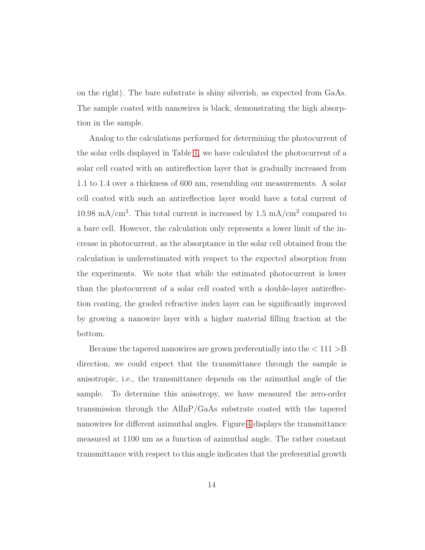on the right). The bare substrate is shiny silverish, as expected from GaAs. The sample coated with nanowires is black, demonstrating the high absorption in the sample.

Analog to the calculations performed for determining the photocurrent of the solar cells displayed in Table [1,](#page-17-0) we have calculated the photocurrent of a solar cell coated with an antireflection layer that is gradually increased from 1.1 to 1.4 over a thickness of 600 nm, resembling our measurements. A solar cell coated with such an antireflection layer would have a total current of 10.98 mA/cm<sup>2</sup>. This total current is increased by  $1.5 \text{ mA/cm}^2$  compared to a bare cell. However, the calculation only represents a lower limit of the increase in photocurrent, as the absorptance in the solar cell obtained from the calculation is underestimated with respect to the expected absorption from the experiments. We note that while the estimated photocurrent is lower than the photocurrent of a solar cell coated with a double-layer antireflection coating, the graded refractive index layer can be significantly improved by growing a nanowire layer with a higher material filling fraction at the bottom.

Because the tapered nanowires are grown preferentially into the  $< 111 > B$ direction, we could expect that the transmittance through the sample is anisotropic, i.e., the transmittance depends on the azimuthal angle of the sample. To determine this anisotropy, we have measured the zero-order transmission through the AlInP/GaAs substrate coated with the tapered nanowires for different azimuthal angles. Figure [4](#page-21-0) displays the transmittance measured at 1100 nm as a function of azimuthal angle. The rather constant transmittance with respect to this angle indicates that the preferential growth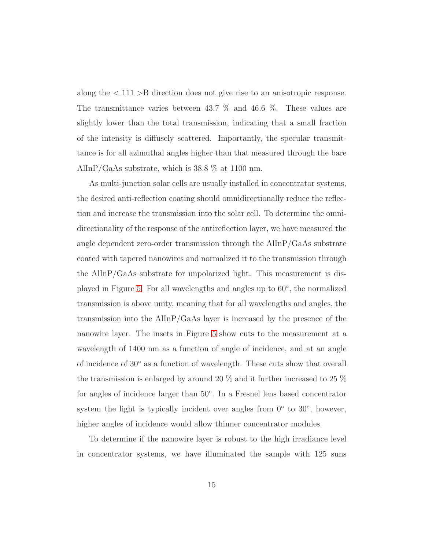along the < 111 >B direction does not give rise to an anisotropic response. The transmittance varies between 43.7 % and 46.6 %. These values are slightly lower than the total transmission, indicating that a small fraction of the intensity is diffusely scattered. Importantly, the specular transmittance is for all azimuthal angles higher than that measured through the bare AlInP/GaAs substrate, which is 38.8 % at 1100 nm.

As multi-junction solar cells are usually installed in concentrator systems, the desired anti-reflection coating should omnidirectionally reduce the reflection and increase the transmission into the solar cell. To determine the omnidirectionality of the response of the antireflection layer, we have measured the angle dependent zero-order transmission through the AlInP/GaAs substrate coated with tapered nanowires and normalized it to the transmission through the AlInP/GaAs substrate for unpolarized light. This measurement is displayed in Figure [5.](#page-22-0) For all wavelengths and angles up to 60◦ , the normalized transmission is above unity, meaning that for all wavelengths and angles, the transmission into the AlInP/GaAs layer is increased by the presence of the nanowire layer. The insets in Figure [5](#page-22-0) show cuts to the measurement at a wavelength of 1400 nm as a function of angle of incidence, and at an angle of incidence of  $30°$  as a function of wavelength. These cuts show that overall the transmission is enlarged by around 20 % and it further increased to 25 % for angles of incidence larger than 50◦ . In a Fresnel lens based concentrator system the light is typically incident over angles from  $0°$  to  $30°$ , however, higher angles of incidence would allow thinner concentrator modules.

To determine if the nanowire layer is robust to the high irradiance level in concentrator systems, we have illuminated the sample with 125 suns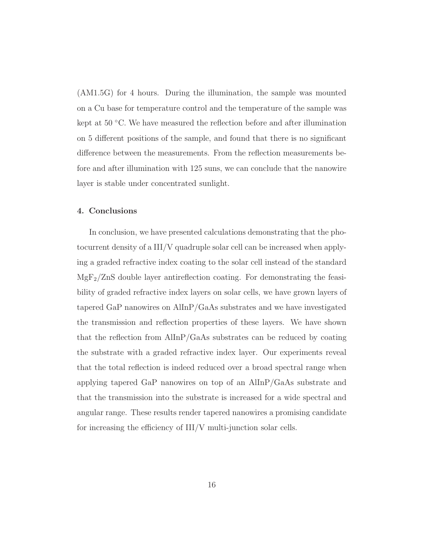(AM1.5G) for 4 hours. During the illumination, the sample was mounted on a Cu base for temperature control and the temperature of the sample was kept at 50 °C. We have measured the reflection before and after illumination on 5 different positions of the sample, and found that there is no significant difference between the measurements. From the reflection measurements before and after illumination with 125 suns, we can conclude that the nanowire layer is stable under concentrated sunlight.

#### 4. Conclusions

In conclusion, we have presented calculations demonstrating that the photocurrent density of a III/V quadruple solar cell can be increased when applying a graded refractive index coating to the solar cell instead of the standard  $MgF_2/ZnS$  double layer antireflection coating. For demonstrating the feasibility of graded refractive index layers on solar cells, we have grown layers of tapered GaP nanowires on AlInP/GaAs substrates and we have investigated the transmission and reflection properties of these layers. We have shown that the reflection from AlInP/GaAs substrates can be reduced by coating the substrate with a graded refractive index layer. Our experiments reveal that the total reflection is indeed reduced over a broad spectral range when applying tapered GaP nanowires on top of an AlInP/GaAs substrate and that the transmission into the substrate is increased for a wide spectral and angular range. These results render tapered nanowires a promising candidate for increasing the efficiency of III/V multi-junction solar cells.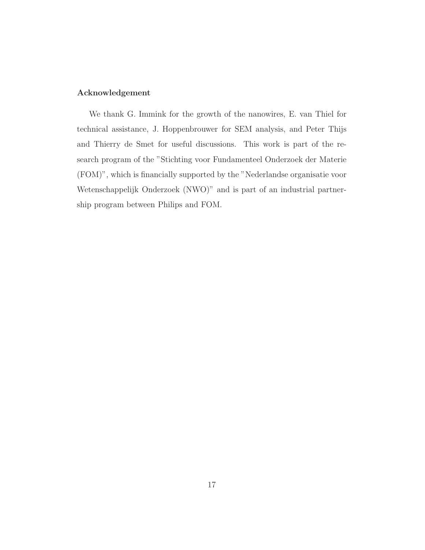## Acknowledgement

We thank G. Immink for the growth of the nanowires, E. van Thiel for technical assistance, J. Hoppenbrouwer for SEM analysis, and Peter Thijs and Thierry de Smet for useful discussions. This work is part of the research program of the "Stichting voor Fundamenteel Onderzoek der Materie (FOM)", which is financially supported by the "Nederlandse organisatie voor Wetenschappelijk Onderzoek (NWO)" and is part of an industrial partnership program between Philips and FOM.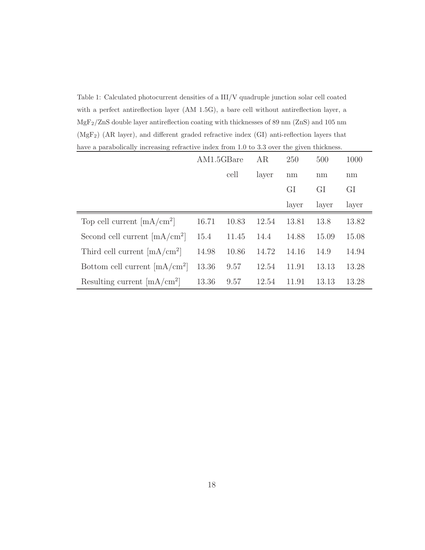<span id="page-17-0"></span>Table 1: Calculated photocurrent densities of a III/V quadruple junction solar cell coated with a perfect antireflection layer (AM 1.5G), a bare cell without antireflection layer, a MgF2/ZnS double layer antireflection coating with thicknesses of 89 nm (ZnS) and 105 nm (MgF2) (AR layer), and different graded refractive index (GI) anti-reflection layers that have a parabolically increasing refractive index from 1.0 to 3.3 over the given thickness.

|                                 | AM1.5GBare |       | AR    | 250   | 500   | 1000  |
|---------------------------------|------------|-------|-------|-------|-------|-------|
|                                 |            | cell  | layer | nm    | nm    | nm    |
|                                 |            |       |       | GI    | GI    | GI    |
|                                 |            |       |       | layer | layer | layer |
| Top cell current $[mA/cm^2]$    | 16.71      | 10.83 | 12.54 | 13.81 | 13.8  | 13.82 |
| Second cell current $[mA/cm^2]$ | 15.4       | 11.45 | 14.4  | 14.88 | 15.09 | 15.08 |
| Third cell current $[mA/cm^2]$  | 14.98      | 10.86 | 14.72 | 14.16 | 14.9  | 14.94 |
| Bottom cell current $[mA/cm^2]$ | 13.36      | 9.57  | 12.54 | 11.91 | 13.13 | 13.28 |
| Resulting current $[mA/cm^2]$   | 13.36      | 9.57  | 12.54 | 11.91 | 13.13 | 13.28 |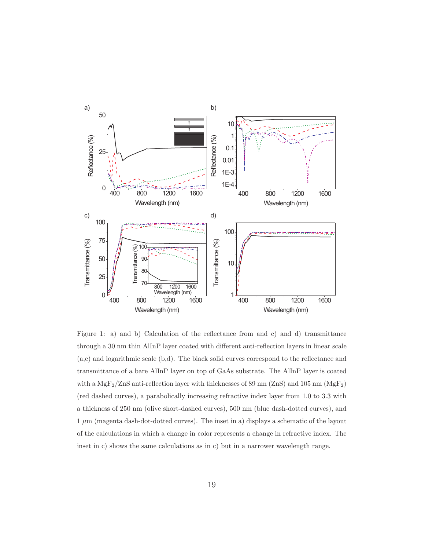

<span id="page-18-0"></span>Figure 1: a) and b) Calculation of the reflectance from and c) and d) transmittance through a 30 nm thin AlInP layer coated with different anti-reflection layers in linear scale (a,c) and logarithmic scale (b,d). The black solid curves correspond to the reflectance and transmittance of a bare AlInP layer on top of GaAs substrate. The AlInP layer is coated with a MgF<sub>2</sub>/ZnS anti-reflection layer with thicknesses of 89 nm (ZnS) and 105 nm (MgF<sub>2</sub>) (red dashed curves), a parabolically increasing refractive index layer from 1.0 to 3.3 with a thickness of 250 nm (olive short-dashed curves), 500 nm (blue dash-dotted curves), and  $1 \mu m$  (magenta dash-dot-dotted curves). The inset in a) displays a schematic of the layout of the calculations in which a change in color represents a change in refractive index. The inset in c) shows the same calculations as in c) but in a narrower wavelength range.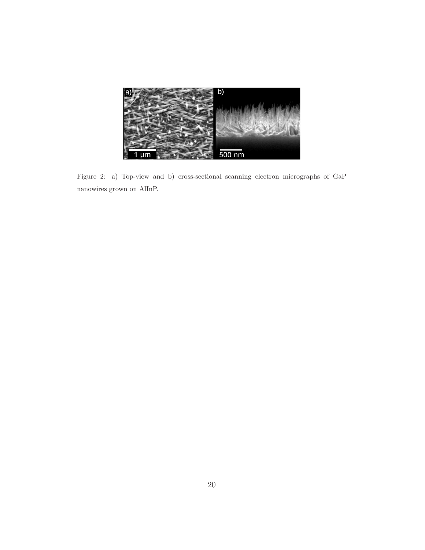<span id="page-19-0"></span>

Figure 2: a) Top-view and b) cross-sectional scanning electron micrographs of GaP nanowires grown on AlInP.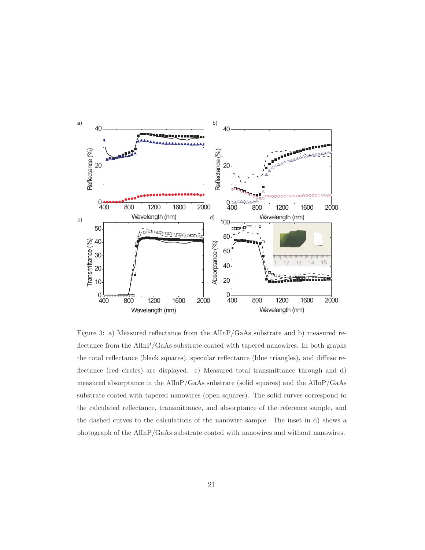

<span id="page-20-0"></span>Figure 3: a) Measured reflectance from the AlInP/GaAs substrate and b) measured reflectance from the AlInP/GaAs substrate coated with tapered nanowires. In both graphs the total reflectance (black squares), specular reflectance (blue triangles), and diffuse reflectance (red circles) are displayed. c) Measured total transmittance through and d) measured absorptance in the AlInP/GaAs substrate (solid squares) and the AlInP/GaAs substrate coated with tapered nanowires (open squares). The solid curves correspond to the calculated reflectance, transmittance, and absorptance of the reference sample, and the dashed curves to the calculations of the nanowire sample. The inset in d) shows a photograph of the AlInP/GaAs substrate coated with nanowires and without nanowires.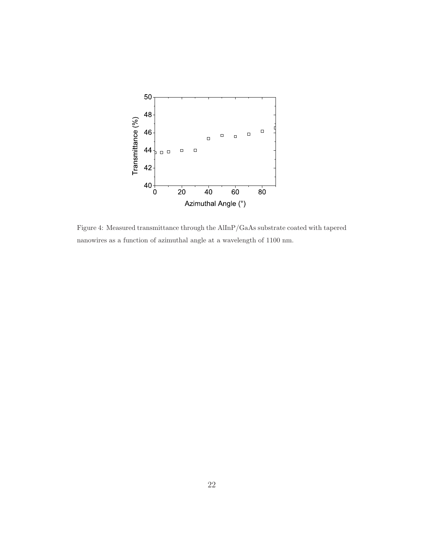

<span id="page-21-0"></span>Figure 4: Measured transmittance through the AlInP/GaAs substrate coated with tapered nanowires as a function of azimuthal angle at a wavelength of 1100 nm.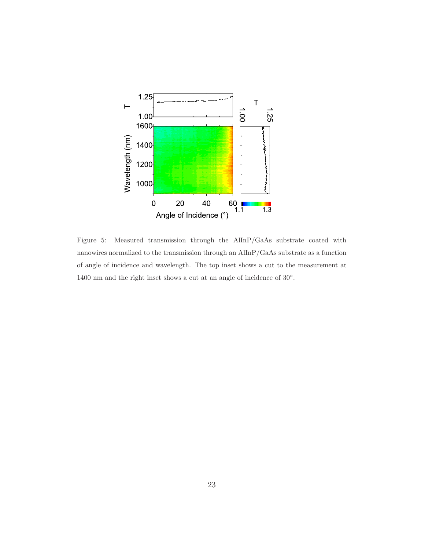

<span id="page-22-0"></span>Figure 5: Measured transmission through the AlInP/GaAs substrate coated with nanowires normalized to the transmission through an AlInP/GaAs substrate as a function of angle of incidence and wavelength. The top inset shows a cut to the measurement at 1400 nm and the right inset shows a cut at an angle of incidence of  $30^{\circ}$ .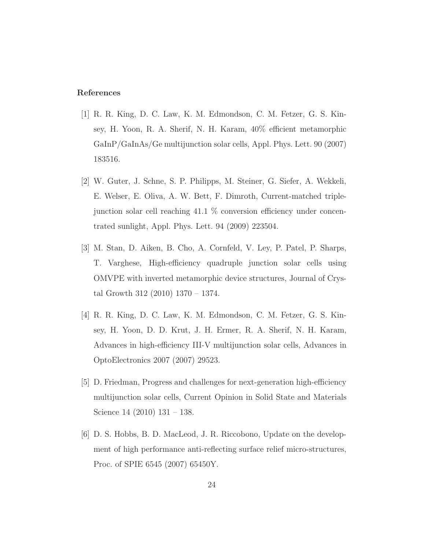### References

- <span id="page-23-0"></span>[1] R. R. King, D. C. Law, K. M. Edmondson, C. M. Fetzer, G. S. Kinsey, H. Yoon, R. A. Sherif, N. H. Karam, 40% efficient metamorphic GaInP/GaInAs/Ge multijunction solar cells, Appl. Phys. Lett. 90 (2007) 183516.
- <span id="page-23-1"></span>[2] W. Guter, J. Schne, S. P. Philipps, M. Steiner, G. Siefer, A. Wekkeli, E. Welser, E. Oliva, A. W. Bett, F. Dimroth, Current-matched triplejunction solar cell reaching 41.1 % conversion efficiency under concentrated sunlight, Appl. Phys. Lett. 94 (2009) 223504.
- <span id="page-23-2"></span>[3] M. Stan, D. Aiken, B. Cho, A. Cornfeld, V. Ley, P. Patel, P. Sharps, T. Varghese, High-efficiency quadruple junction solar cells using OMVPE with inverted metamorphic device structures, Journal of Crystal Growth 312 (2010) 1370 – 1374.
- <span id="page-23-3"></span>[4] R. R. King, D. C. Law, K. M. Edmondson, C. M. Fetzer, G. S. Kinsey, H. Yoon, D. D. Krut, J. H. Ermer, R. A. Sherif, N. H. Karam, Advances in high-efficiency III-V multijunction solar cells, Advances in OptoElectronics 2007 (2007) 29523.
- <span id="page-23-4"></span>[5] D. Friedman, Progress and challenges for next-generation high-efficiency multijunction solar cells, Current Opinion in Solid State and Materials Science 14 (2010) 131 – 138.
- <span id="page-23-5"></span>[6] D. S. Hobbs, B. D. MacLeod, J. R. Riccobono, Update on the development of high performance anti-reflecting surface relief micro-structures, Proc. of SPIE 6545 (2007) 65450Y.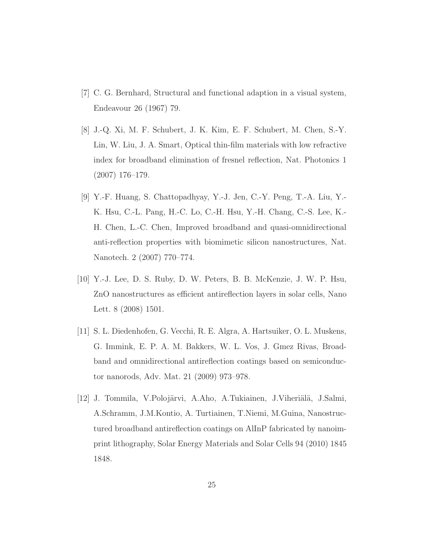- <span id="page-24-0"></span>[7] C. G. Bernhard, Structural and functional adaption in a visual system, Endeavour 26 (1967) 79.
- <span id="page-24-1"></span>[8] J.-Q. Xi, M. F. Schubert, J. K. Kim, E. F. Schubert, M. Chen, S.-Y. Lin, W. Liu, J. A. Smart, Optical thin-film materials with low refractive index for broadband elimination of fresnel reflection, Nat. Photonics 1 (2007) 176–179.
- <span id="page-24-2"></span>[9] Y.-F. Huang, S. Chattopadhyay, Y.-J. Jen, C.-Y. Peng, T.-A. Liu, Y.- K. Hsu, C.-L. Pang, H.-C. Lo, C.-H. Hsu, Y.-H. Chang, C.-S. Lee, K.- H. Chen, L.-C. Chen, Improved broadband and quasi-omnidirectional anti-reflection properties with biomimetic silicon nanostructures, Nat. Nanotech. 2 (2007) 770–774.
- <span id="page-24-4"></span>[10] Y.-J. Lee, D. S. Ruby, D. W. Peters, B. B. McKenzie, J. W. P. Hsu, ZnO nanostructures as efficient antireflection layers in solar cells, Nano Lett. 8 (2008) 1501.
- <span id="page-24-5"></span>[11] S. L. Diedenhofen, G. Vecchi, R. E. Algra, A. Hartsuiker, O. L. Muskens, G. Immink, E. P. A. M. Bakkers, W. L. Vos, J. Gmez Rivas, Broadband and omnidirectional antireflection coatings based on semiconductor nanorods, Adv. Mat. 21 (2009) 973–978.
- <span id="page-24-3"></span>[12] J. Tommila, V.Polojärvi, A.Aho, A.Tukiainen, J.Viheriälä, J.Salmi, A.Schramm, J.M.Kontio, A. Turtiainen, T.Niemi, M.Guina, Nanostructured broadband antireflection coatings on AlInP fabricated by nanoimprint lithography, Solar Energy Materials and Solar Cells 94 (2010) 1845 1848.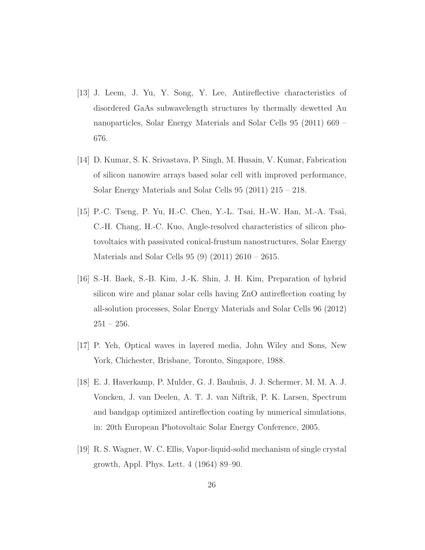- [13] J. Leem, J. Yu, Y. Song, Y. Lee, Antireflective characteristics of disordered GaAs subwavelength structures by thermally dewetted Au nanoparticles, Solar Energy Materials and Solar Cells 95 (2011) 669 – 676.
- [14] D. Kumar, S. K. Srivastava, P. Singh, M. Husain, V. Kumar, Fabrication of silicon nanowire arrays based solar cell with improved performance, Solar Energy Materials and Solar Cells 95 (2011) 215 – 218.
- [15] P.-C. Tseng, P. Yu, H.-C. Chen, Y.-L. Tsai, H.-W. Han, M.-A. Tsai, C.-H. Chang, H.-C. Kuo, Angle-resolved characteristics of silicon photovoltaics with passivated conical-frustum nanostructures, Solar Energy Materials and Solar Cells 95 (9) (2011) 2610 – 2615.
- <span id="page-25-0"></span>[16] S.-H. Baek, S.-B. Kim, J.-K. Shin, J. H. Kim, Preparation of hybrid silicon wire and planar solar cells having ZnO antireflection coating by all-solution processes, Solar Energy Materials and Solar Cells 96 (2012)  $251 - 256.$
- <span id="page-25-1"></span>[17] P. Yeh, Optical waves in layered media, John Wiley and Sons, New York, Chichester, Brisbane, Toronto, Singapore, 1988.
- <span id="page-25-2"></span>[18] E. J. Haverkamp, P. Mulder, G. J. Bauhuis, J. J. Schermer, M. M. A. J. Voncken, J. van Deelen, A. T. J. van Niftrik, P. K. Larsen, Spectrum and bandgap optimized antireflection coating by numerical simulations, in: 20th European Photovoltaic Solar Energy Conference, 2005.
- <span id="page-25-3"></span>[19] R. S. Wagner, W. C. Ellis, Vapor-liquid-solid mechanism of single crystal growth, Appl. Phys. Lett. 4 (1964) 89–90.